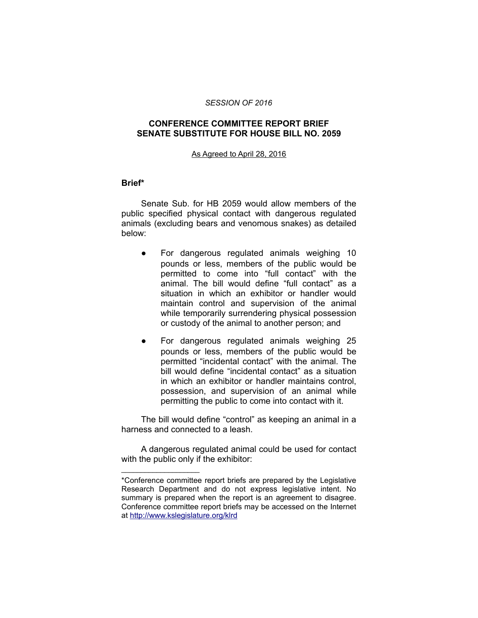### *SESSION OF 2016*

## **CONFERENCE COMMITTEE REPORT BRIEF SENATE SUBSTITUTE FOR HOUSE BILL NO. 2059**

#### As Agreed to April 28, 2016

### **Brief\***

Senate Sub. for HB 2059 would allow members of the public specified physical contact with dangerous regulated animals (excluding bears and venomous snakes) as detailed below:

- For dangerous regulated animals weighing 10 pounds or less, members of the public would be permitted to come into "full contact" with the animal. The bill would define "full contact" as a situation in which an exhibitor or handler would maintain control and supervision of the animal while temporarily surrendering physical possession or custody of the animal to another person; and
- For dangerous regulated animals weighing 25 pounds or less, members of the public would be permitted "incidental contact" with the animal. The bill would define "incidental contact" as a situation in which an exhibitor or handler maintains control, possession, and supervision of an animal while permitting the public to come into contact with it.

The bill would define "control" as keeping an animal in a harness and connected to a leash.

A dangerous regulated animal could be used for contact with the public only if the exhibitor:

\_\_\_\_\_\_\_\_\_\_\_\_\_\_\_\_\_\_\_\_

<sup>\*</sup>Conference committee report briefs are prepared by the Legislative Research Department and do not express legislative intent. No summary is prepared when the report is an agreement to disagree. Conference committee report briefs may be accessed on the Internet at<http://www.kslegislature.org/klrd>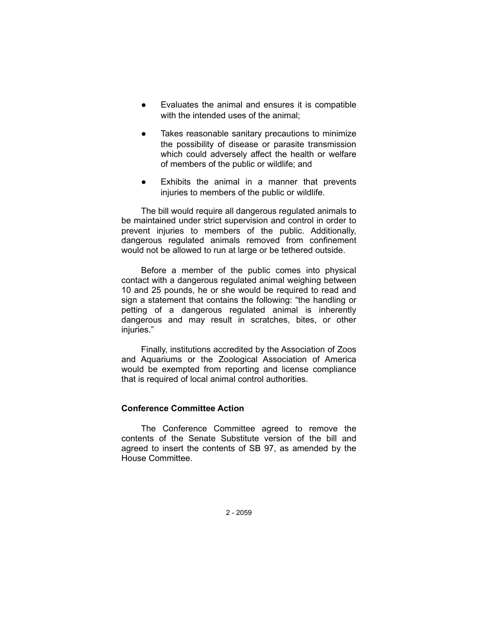- Evaluates the animal and ensures it is compatible with the intended uses of the animal:
- Takes reasonable sanitary precautions to minimize the possibility of disease or parasite transmission which could adversely affect the health or welfare of members of the public or wildlife; and
- Exhibits the animal in a manner that prevents injuries to members of the public or wildlife.

The bill would require all dangerous regulated animals to be maintained under strict supervision and control in order to prevent injuries to members of the public. Additionally, dangerous regulated animals removed from confinement would not be allowed to run at large or be tethered outside.

Before a member of the public comes into physical contact with a dangerous regulated animal weighing between 10 and 25 pounds, he or she would be required to read and sign a statement that contains the following: "the handling or petting of a dangerous regulated animal is inherently dangerous and may result in scratches, bites, or other injuries."

Finally, institutions accredited by the Association of Zoos and Aquariums or the Zoological Association of America would be exempted from reporting and license compliance that is required of local animal control authorities.

# **Conference Committee Action**

The Conference Committee agreed to remove the contents of the Senate Substitute version of the bill and agreed to insert the contents of SB 97, as amended by the House Committee.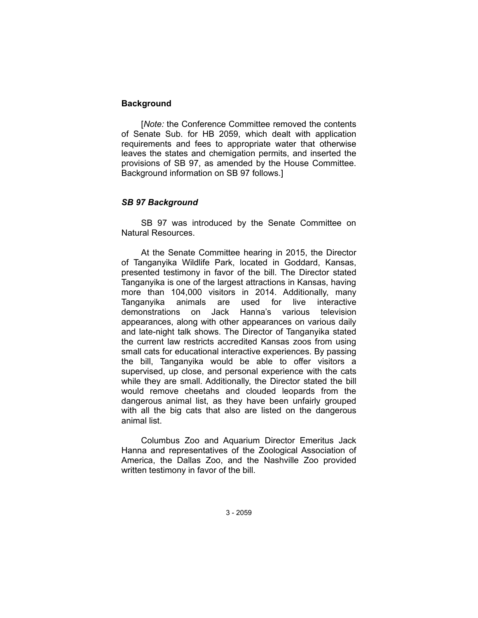## **Background**

[*Note:* the Conference Committee removed the contents of Senate Sub. for HB 2059, which dealt with application requirements and fees to appropriate water that otherwise leaves the states and chemigation permits, and inserted the provisions of SB 97, as amended by the House Committee. Background information on SB 97 follows.]

## *SB 97 Background*

SB 97 was introduced by the Senate Committee on Natural Resources.

At the Senate Committee hearing in 2015, the Director of Tanganyika Wildlife Park, located in Goddard, Kansas, presented testimony in favor of the bill. The Director stated Tanganyika is one of the largest attractions in Kansas, having more than 104,000 visitors in 2014. Additionally, many Tanganyika animals are used for live interactive demonstrations on Jack Hanna's various television appearances, along with other appearances on various daily and late-night talk shows. The Director of Tanganyika stated the current law restricts accredited Kansas zoos from using small cats for educational interactive experiences. By passing the bill, Tanganyika would be able to offer visitors a supervised, up close, and personal experience with the cats while they are small. Additionally, the Director stated the bill would remove cheetahs and clouded leopards from the dangerous animal list, as they have been unfairly grouped with all the big cats that also are listed on the dangerous animal list.

Columbus Zoo and Aquarium Director Emeritus Jack Hanna and representatives of the Zoological Association of America, the Dallas Zoo, and the Nashville Zoo provided written testimony in favor of the bill.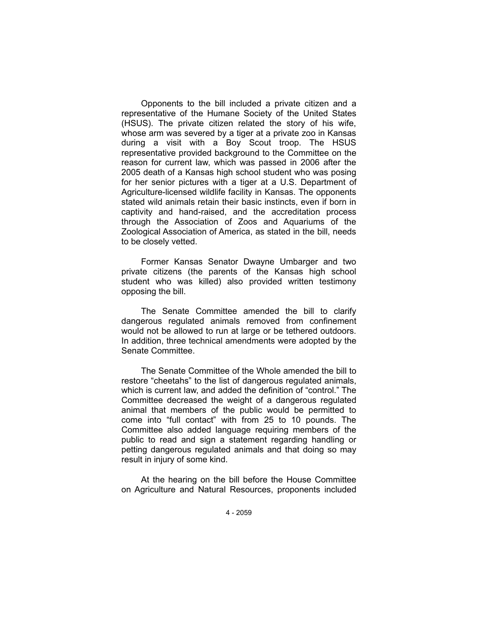Opponents to the bill included a private citizen and a representative of the Humane Society of the United States (HSUS). The private citizen related the story of his wife, whose arm was severed by a tiger at a private zoo in Kansas during a visit with a Boy Scout troop. The HSUS representative provided background to the Committee on the reason for current law, which was passed in 2006 after the 2005 death of a Kansas high school student who was posing for her senior pictures with a tiger at a U.S. Department of Agriculture-licensed wildlife facility in Kansas. The opponents stated wild animals retain their basic instincts, even if born in captivity and hand-raised, and the accreditation process through the Association of Zoos and Aquariums of the Zoological Association of America, as stated in the bill, needs to be closely vetted.

Former Kansas Senator Dwayne Umbarger and two private citizens (the parents of the Kansas high school student who was killed) also provided written testimony opposing the bill.

The Senate Committee amended the bill to clarify dangerous regulated animals removed from confinement would not be allowed to run at large or be tethered outdoors. In addition, three technical amendments were adopted by the Senate Committee.

The Senate Committee of the Whole amended the bill to restore "cheetahs" to the list of dangerous regulated animals, which is current law, and added the definition of "control." The Committee decreased the weight of a dangerous regulated animal that members of the public would be permitted to come into "full contact" with from 25 to 10 pounds. The Committee also added language requiring members of the public to read and sign a statement regarding handling or petting dangerous regulated animals and that doing so may result in injury of some kind.

At the hearing on the bill before the House Committee on Agriculture and Natural Resources, proponents included